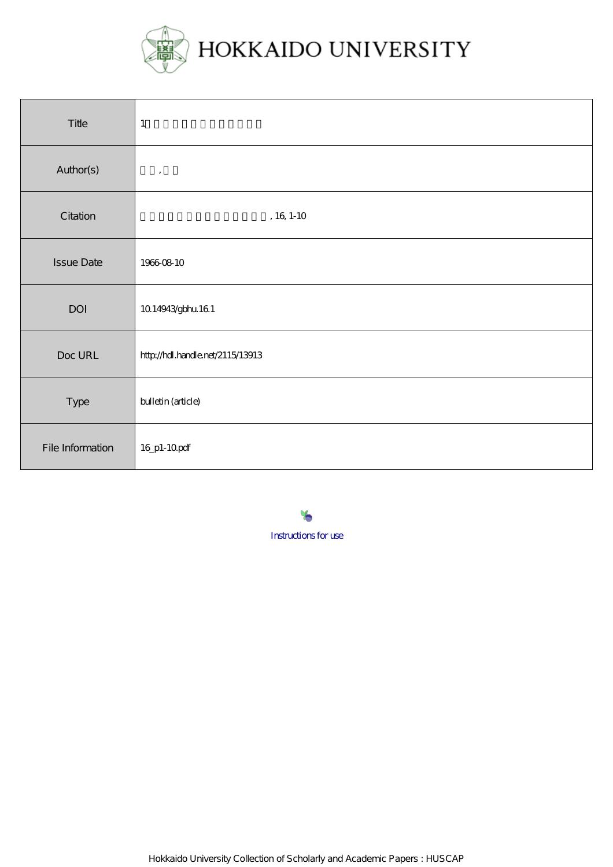

| Title             | $\mathbf 1$                      |
|-------------------|----------------------------------|
| Author(s)         | $^\bullet$                       |
| Citation          | , 16, 1-10 $\,$                  |
| <b>Issue Date</b> | 1966 08 10                       |
| DOI               | 1014943/gbhu 161                 |
| Doc URL           | http://hdl.handle.net/2115/13913 |
| Type              | bulletin (article)               |
| File Information  | 16_p1-10pdf                      |

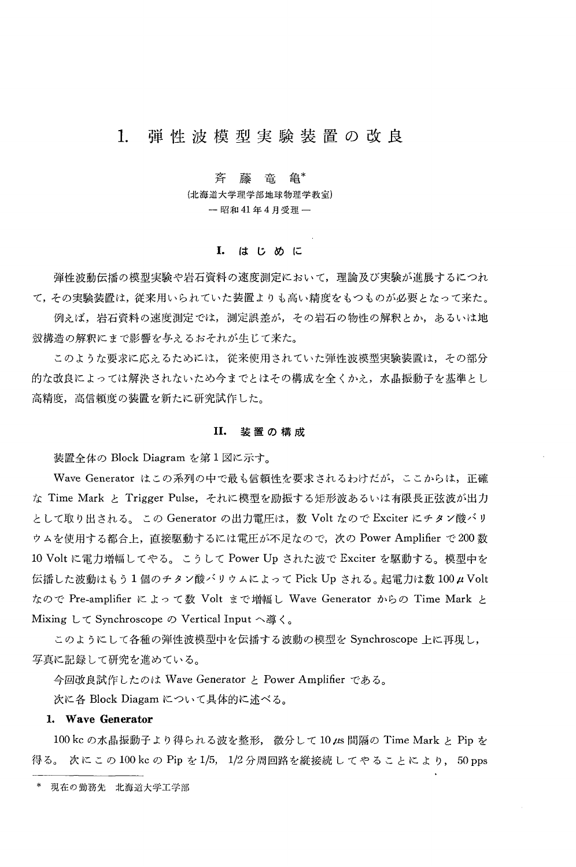# 1.弾性波模型実験装置の改良

### 斉藤竜亀\*

(北海道大学理学部地球物理学教室)  $-$ 昭和 $41$ 年 $4$ 月受理 $-$ 

#### 1. はじめに

弾性波動伝播の模型実験や岩石資料の速度測定において,理論及び実験が進展するにつれ て,その実験装置は,従来用いられていた装置よりも高い精度をもつものが必要となって来た。

例えば、岩石資料の速度測定では、測定誤差が、その岩石の物性の解釈とか、あるいは地 殻構造の解釈にまで影響を与えるおそれが生じて来た。

このような要求に応えるためには、従来使用されていた弾性波模型実験装置は、その部分 的な改良によっては解決されないため今までとはその構成を全くかえ,水晶振動子を基準とし 高精度,高信頼度の装置を新たに研究試作した。

#### 11. 装置の構成

装置全体の Block Diagram を第1図に示す。

Wave Generator はこの系列の中で最も信頼性を要求されるわけだが、ここからは,正確 な Time Mark と Trigger Pulse, それに模型を励振する矩形波あるいは有限長正弦波が出力 として取り出される。 この Generator の出力電圧は,数 Volt なので Exciter にチタン酸バリ ウムを使用する都合上,直接駆動するには電圧が不足なので,次の Power Amplifier で 200 数 10 Volt に電力増幅してやる。 こうして Power Up された波で Exciter を駆動する。模型中を 伝播した波動はもう1個のチタン酸バリウムによって Pick Up される。起電力は数 100μVolt なので Pre-amplifier によって数 Volt まで増幅し Wave Generator からの Time Mark と Mixing して Synchroscope の Vertical Input へ導く。

このようにして各種の弾性波模型中を伝播する波動の模型を Synchroscope上に再現し, 写真に記録して研究を進めている。

今回改良試作したのは Wave Generator と Power Amplifier である。

次に各 Block Diagam について具体的に述べる。

#### 1. Wave Generator

100 kc の水晶振動子より得られる波を整形, 微分して 10 µs 間隔の Time Mark と Pip を 得る。 次にこの 100 kc の Pip を 1/5, 1/2 分周回路を縦接続して やることにより, 50 pps

現在の勤務先 北海道大学工学部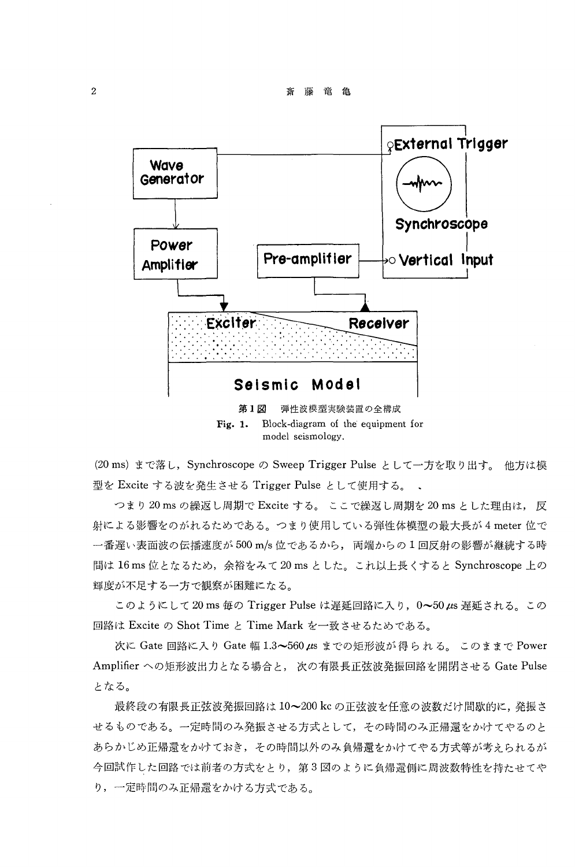

model seismology.

(20 ms) まで落し, Synchroscope の Sweep Trigger Pulse として一方を取り出す。 他方は模 型を Exciteする波を発生させる TriggerPulseとして使用する。

つまり 20msの繰返し周期で Exciteする。 ここで繰返し周期を 20msとした理由は,反 射による影響をのがれるためである。つまり使用している弾性体模型の最大長が4meter位で 一番遅い表面波の伝播速度が 500m/s位であるから,両端からの 1回反射の影響が継続する時 聞は 16ms位となるため,余裕をみて 20msとした。これ以上長くすると Synchroscope上の 輝度が不足する一方で観察が困難になる。

このようにして20ms 毎の Trigger Pulse は遅延回路に入り, 0~50μs 遅延される。この 回路は Excite の Shot Time と Time Mark を一致させるためである。

次に Gate 回路に入り Gate 幅 1.3~560μs までの矩形波が得られる。 このままで Power Amplifierへの矩形波出力となる場合と, 次の有限長正弦波発振回路を開閉させる GatePulse となる。

最終段の有限長正弦波発振回路は 10~200 kc の正弦波を任意の波数だけ間歇的に, 発振さ せるものである。一定時間のみ発振させる方式として,その時間のみ正帰還をかけてやるのと あらかじめ正帰還をかけておき,その時間以外のみ負帰還をかけてやる方式等が考えられるが 今回試作した回路では前者の方式をとり,第 3図のように負帰還側に周波数特性を持たせてや り,一定時間のみ正帰還をかける方式である。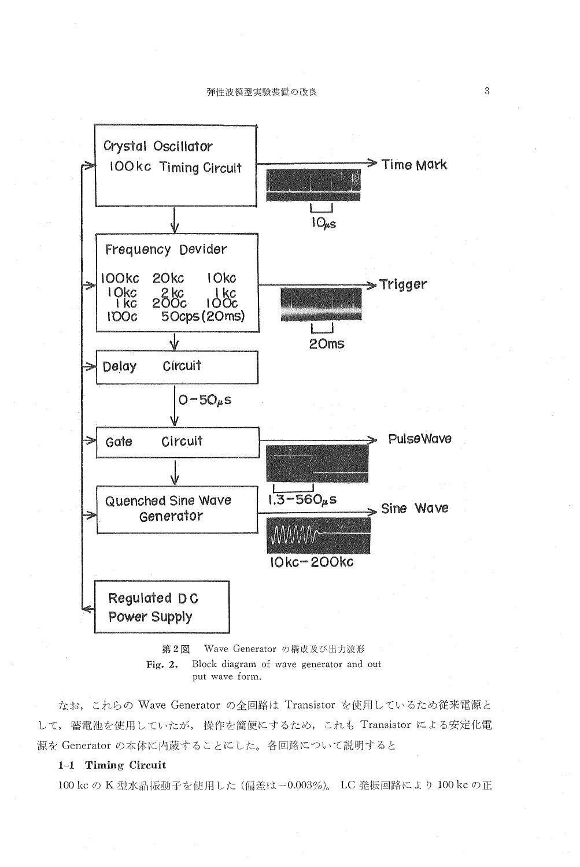

第2図 Wave Generator の構成及び出力波形 Fig. 2. Block diagram of wave generator and out put wave form.

なお、これらの Wave Generator の全回路は Transistor を使用しているため従来電源と して、蓄電池を使用していたが、操作を簡便にするため、これも Transistor による安定化電 源を Generatorの木休に内蔵することにした。各回路について説明すると

#### 1-1 Timing Circui

100 kc の K 型水晶振動子を使用した (偏差は-0.003%)。 LC 発振回路により 100 kc の正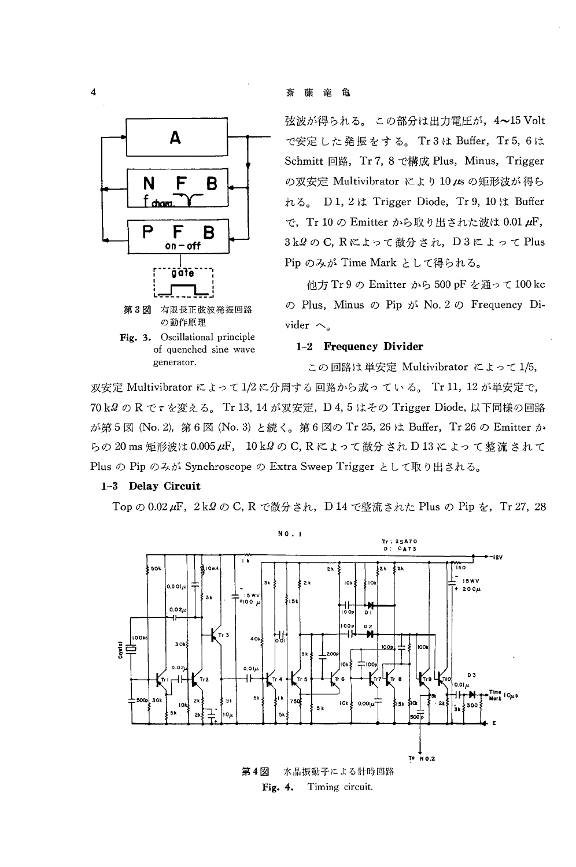弦波が得られる。 この部分は出力電圧が, 4~15 Volt で安定した発振をする。 Tr3は Buffer, Tr5, 6は Schmitt 回路, Tr 7, 8 で構成 Plus, Minus, Trigger の双安定 Multivibrator により 10μs の矩形波が得ら  $\hbar \delta$ , D1, 2 は Trigger Diode, Tr 9, 10 は Buffer で, Tr 10の Emitter から取り出された波は 0.01  $\mu$ F,  $3 k$  $Q$ のC, Rによって微分され, D3によって Plus Pipのみが TimeMarkとして得られる。

他方 Tr 9 の Emitter から 500 pF を通って 100 kc  $\oslash$  Plus, Minus  $\oslash$  Pip  $\breve{\beta}$ : No. 2  $\oslash$  Frequency Divider  $\sim$ 

### 1-2 Frequency Divider

この回路は単安定 Multivibrator によって 1/5,

双安定 Multivibrator によって 1/2に分周する回路から成っている。 Tr 11, 12 が単安定で, 70 k!Jの R を変える。 Tr13 14が双安定, D4, 5はその TriggerDiode,以下同様の回路 が第5図 (No.2), 第6図 (No.3)と続く。第6図の Tr 25, 26は Buffer, Tr 26の Emitter か らの 20 ms 矩形波は 0.005 μF, 10 k 9 の C, R によって微分され D 13 に よって整流されて Plus の Pip のみが Synchroscope の Extra Sweep Trigger として取り出される。

### 1-3 Delay Circuit

Top の 0.02μF, 2k2 の C, R で微分され, D 14 で整流された Plus の Pip を, Tr 27, 28





generator.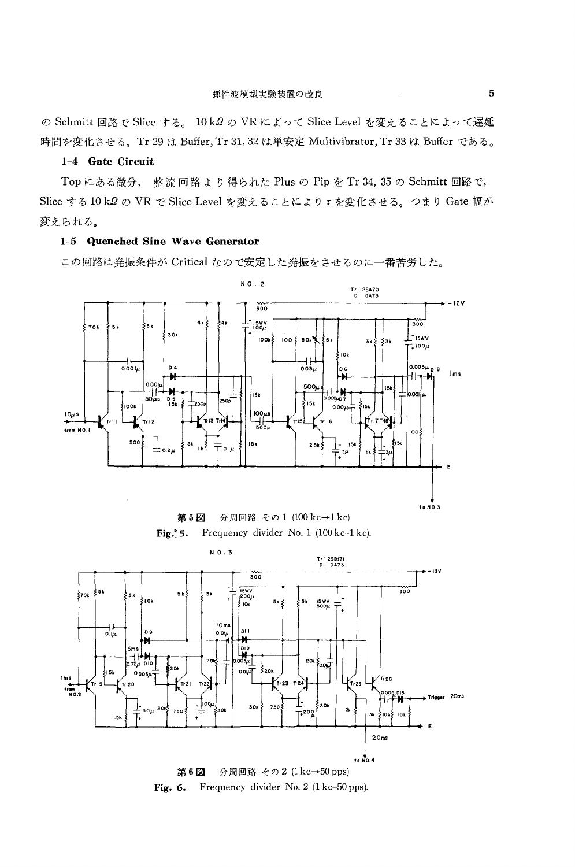の Schmitt 回路で Slice する。 10k2 の VR によって Slice Level を変えることによって遅延 時間を変化させる。Tr 29 は Buffer, Tr 31, 32 は単安定 Multivibrator, Tr 33 は Buffer である。

# 1-4 Gate Circuit

Topにある微分, 整流回路より得られた Plus の Pip を Tr 34, 35 の Schmitt 回路で, Slice する 10 k2 の VR で Slice Level を変えることにより r を変化させる。つまり Gate 幅が 変えられる。

### 1-5 Quenched Sine Wave Generator

この回路は発振条件が Critical なので安定した発振をさせるのに一番苦労した。



Fig. 5. Frequency divider No. 1 (100 kc-1 kc).



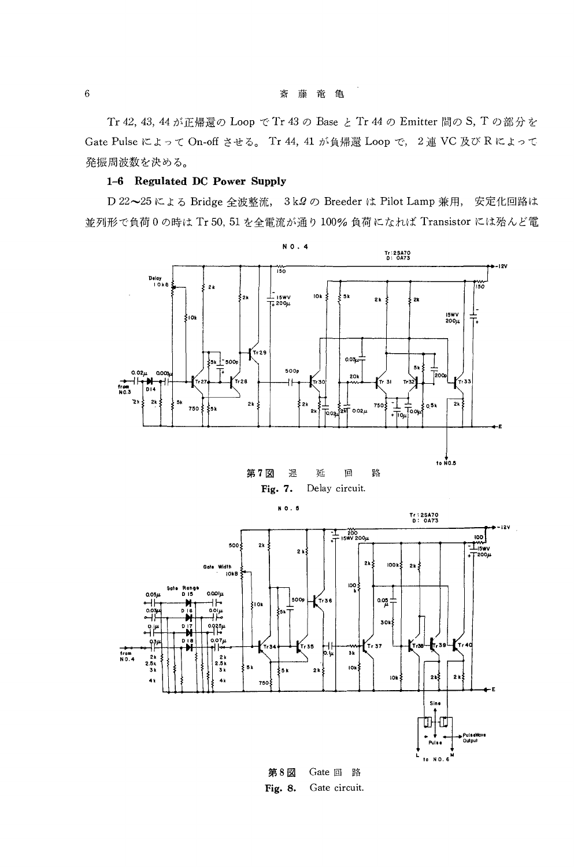Tr 42, 43, 44 が正帰還の Loop で Tr 43 の Base と Tr 44 の Emitter 間の S, T の部分を Gate Pulse によって On-off させる。 Tr 44, 41 が負帰還 Loop で、2連 VC 及び R によって 発振周波数を決める。

### 1-6 Regulated DC Power Supply

D 22~25 による Bridge 全波整流, 3k.9 の Breeder は Pilot Lamp 兼用, 安定化回路は 並列形で負荷 0の時は Tr 50, 51 を全電流が通り 100% 負荷になれば Transistor には殆んど電







Fig. 8. Gate circuit.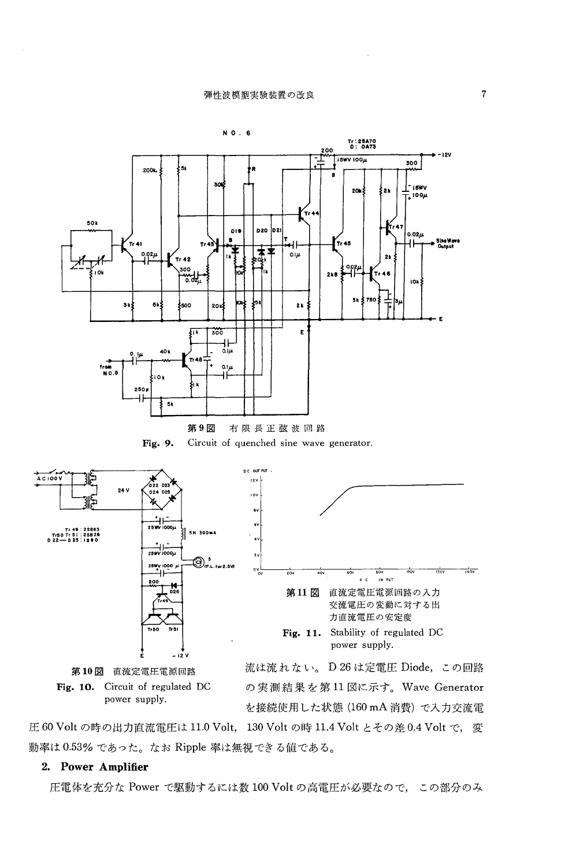



60Voltの時の出力直流電圧は 11.0Volt, 130 Voltの時 11.4Voltとその差 0.4Voltで, 動率は 0.53%であった。なお Ripple率は無視できる値である。

### 2. Power Amplifier

圧電体を充分な Powerで駆動するには数 100Voltの高電圧が必要なので, この部分のみ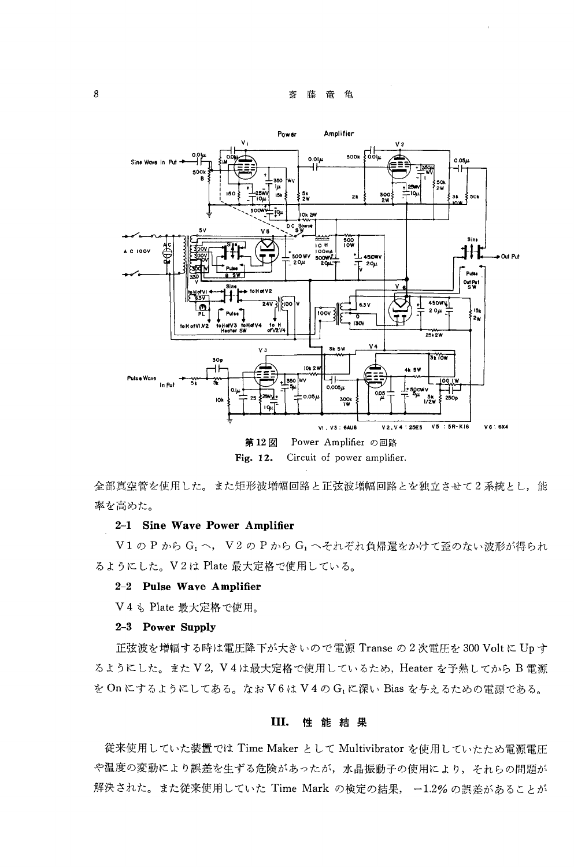

全部真空管を使用した。また矩形波増幅回路と正弦波増幅回路とを独立させて2系統とし、能 率を高めた。

### 2-1 Sine Wave Power Amplifier

 $V1$ の P から  $G_1 \sim$ ,  $V2$ の P から  $G_1 \sim$ それぞれ負帰還をかけて歪のない波形が得られ るようにした。 V2 Plate最大定格で使用している。

#### 2-2 Pulse Wave Amplifier

V4 Plate最大定格で使用。

### 2-3 Power Supply

正弦波を増幅する時は電圧降下が大きいので電源 Transe の2次電圧を 300 Volt に Up す るようにした。また V2, V4は最大定格で使用しているため, Heater を予熱してから B 電源 を On にするようにしてある。なお V6は V4の G1に深い Bias を与えるための電源である。

### 111. 性能結果

従来使用していた装置では TimeMakerとして Multivibratorを使用していたため電源電圧 や温度の変動により誤差を生ずる危険があったが,水晶振動子の使用により,それらの問題が 解決された。また従来使用していた Time Mark の検定の結果, -1.2%の誤差があることが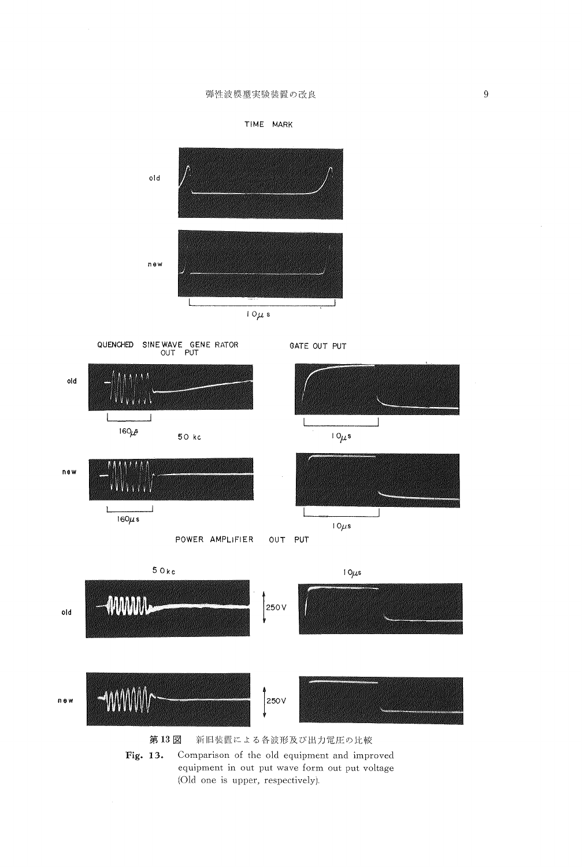



10μs



Fig. 13. Comparison of the old equipment and improved equipment in out put wave form out put voltage (Old one is upper, respectively).